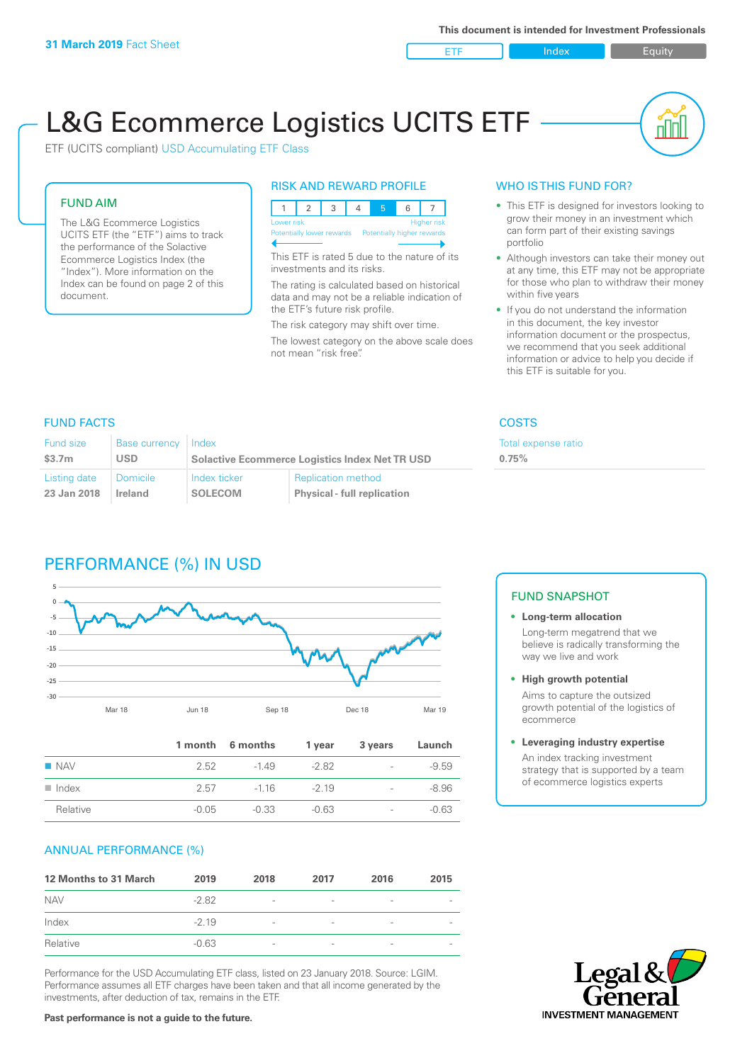ETF Index Buity

nN

# L&G Ecommerce Logistics UCITS ETF

ETF (UCITS compliant) USD Accumulating ETF Class

### FUND AIM

The L&G Ecommerce Logistics UCITS ETF (the "ETF") aims to track the performance of the Solactive Ecommerce Logistics Index (the "Index"). More information on the Index can be found on page 2 of this document.

### RISK AND REWARD PROFILE



This ETF is rated 5 due to the nature of its investments and its risks.

The rating is calculated based on historical data and may not be a reliable indication of the ETF's future risk profile.

The risk category may shift over time. The lowest category on the above scale does not mean "risk free".

### WHO IS THIS FUND FOR?

- This ETF is designed for investors looking to grow their money in an investment which can form part of their existing savings portfolio
- Although investors can take their money out at any time, this ETF may not be appropriate for those who plan to withdraw their money within five years
- If you do not understand the information in this document, the key investor information document or the prospectus, we recommend that you seek additional information or advice to help you decide if this ETF is suitable for you.

**0.75%**

Total expense ratio

### FUND FACTS COSTS

| Fund size          | Base currency  | Index                                                 |                                    |  |
|--------------------|----------------|-------------------------------------------------------|------------------------------------|--|
| \$3.7 <sub>m</sub> | <b>USD</b>     | <b>Solactive Ecommerce Logistics Index Net TR USD</b> |                                    |  |
| Listing date       | Domicile       | Index ticker                                          | <b>Replication method</b>          |  |
| 23 Jan 2018        | <b>Ireland</b> | <b>SOLECOM</b>                                        | <b>Physical - full replication</b> |  |

# PERFORMANCE (%) IN USD



|                      |         | 1 month 6 months | 1 year  | 3 years                  | Launch  |
|----------------------|---------|------------------|---------|--------------------------|---------|
| $\blacksquare$ NAV   | 2.52    | $-149$           | -2.82   | $\overline{\phantom{a}}$ | $-9.59$ |
| $\blacksquare$ Index | 2.57    | $-116$           | $-219$  | $\overline{\phantom{a}}$ | $-8.96$ |
| Relative             | $-0.05$ | $-0.33$          | $-0.63$ | $\overline{\phantom{a}}$ | $-0.63$ |

### ANNUAL PERFORMANCE (%)

| 12 Months to 31 March | 2019    | 2018                     | 2017                     | 2016            | 2015 |
|-----------------------|---------|--------------------------|--------------------------|-----------------|------|
| <b>NAV</b>            | $-2.82$ | $\overline{\phantom{a}}$ | $\overline{\phantom{a}}$ | $\qquad \qquad$ |      |
| Index                 | $-2.19$ | $\overline{\phantom{a}}$ | $\overline{\phantom{0}}$ | $\qquad \qquad$ |      |
| Relative              | $-0.63$ | $\overline{\phantom{a}}$ | $\overline{\phantom{a}}$ |                 |      |

Performance for the USD Accumulating ETF class, listed on 23 January 2018. Source: LGIM. Performance assumes all ETF charges have been taken and that all income generated by the investments, after deduction of tax, remains in the ETF.

## FUND SNAPSHOT

**• Long-term allocation** Long-term megatrend that we believe is radically transforming the way we live and work

**• High growth potential** Aims to capture the outsized

growth potential of the logistics of ecommerce

### **• Leveraging industry expertise**

An index tracking investment strategy that is supported by a team of ecommerce logistics experts



### **Past performance is not a guide to the future.**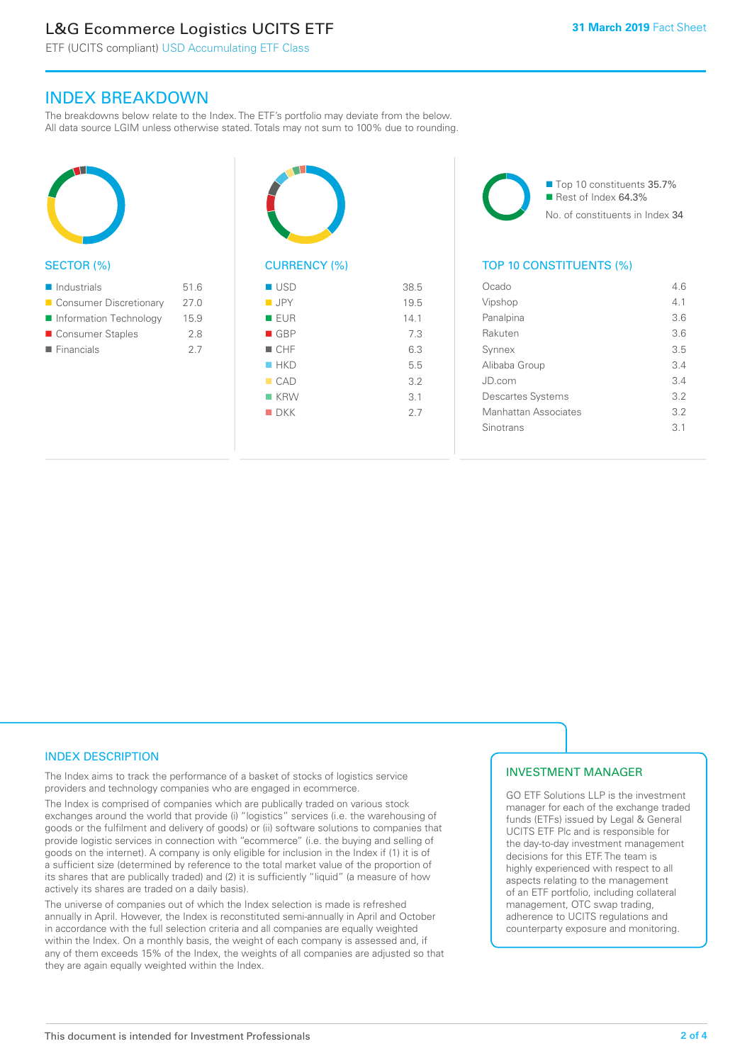# L&G Ecommerce Logistics UCITS ETF

ETF (UCITS compliant) USD Accumulating ETF Class

### INDEX BREAKDOWN

The breakdowns below relate to the Index. The ETF's portfolio may deviate from the below. All data source LGIM unless otherwise stated. Totals may not sum to 100% due to rounding.



### SECTOR (%)

| $\blacksquare$ Industrials | 51.6 |
|----------------------------|------|
| ■ Consumer Discretionary   | 27.0 |
| Information Technology     | 15.9 |
| ■ Consumer Staples         | 2.8  |
| $\blacksquare$ Financials  | 27   |
|                            |      |



# CURRENCY (%)

| $\blacksquare$ USD | 38.5 |
|--------------------|------|
| $\blacksquare$ JPY | 19.5 |
| <b>EUR</b>         | 14.1 |
| GBP                | 7.3  |
| $\blacksquare$ CHF | 6.3  |
| HKD                | 5.5  |
| CAD                | 3.2  |
| $K$ KRW            | 3.1  |
| $\blacksquare$ DKK | 2.7  |
|                    |      |

■ Top 10 constituents 35.7% Rest of Index 64.3% No. of constituents in Index 34

### TOP 10 CONSTITUENTS (%)

| Ocado                    | 46  |
|--------------------------|-----|
| Vipshop                  | 4.1 |
| Panalpina                | 3.6 |
| Rakuten                  | 3.6 |
| Synnex                   | 3.5 |
| Alibaba Group            | 3.4 |
| JD.com                   | 3.4 |
| <b>Descartes Systems</b> | 3.2 |
| Manhattan Associates     | 3.2 |
| Sinotrans                | 31  |
|                          |     |

### INDEX DESCRIPTION

The Index aims to track the performance of a basket of stocks of logistics service providers and technology companies who are engaged in ecommerce.

The Index is comprised of companies which are publically traded on various stock exchanges around the world that provide (i) "logistics" services (i.e. the warehousing of goods or the fulfilment and delivery of goods) or (ii) software solutions to companies that provide logistic services in connection with "ecommerce" (i.e. the buying and selling of goods on the internet). A company is only eligible for inclusion in the Index if (1) it is of a sufficient size (determined by reference to the total market value of the proportion of its shares that are publically traded) and (2) it is sufficiently "liquid" (a measure of how actively its shares are traded on a daily basis).

The universe of companies out of which the Index selection is made is refreshed annually in April. However, the Index is reconstituted semi-annually in April and October in accordance with the full selection criteria and all companies are equally weighted within the Index. On a monthly basis, the weight of each company is assessed and, if any of them exceeds 15% of the Index, the weights of all companies are adjusted so that they are again equally weighted within the Index.

### INVESTMENT MANAGER

GO ETF Solutions LLP is the investment manager for each of the exchange traded funds (ETFs) issued by Legal & General UCITS ETF Plc and is responsible for the day-to-day investment management decisions for this ETF. The team is highly experienced with respect to all aspects relating to the management of an ETF portfolio, including collateral management, OTC swap trading, adherence to UCITS regulations and counterparty exposure and monitoring.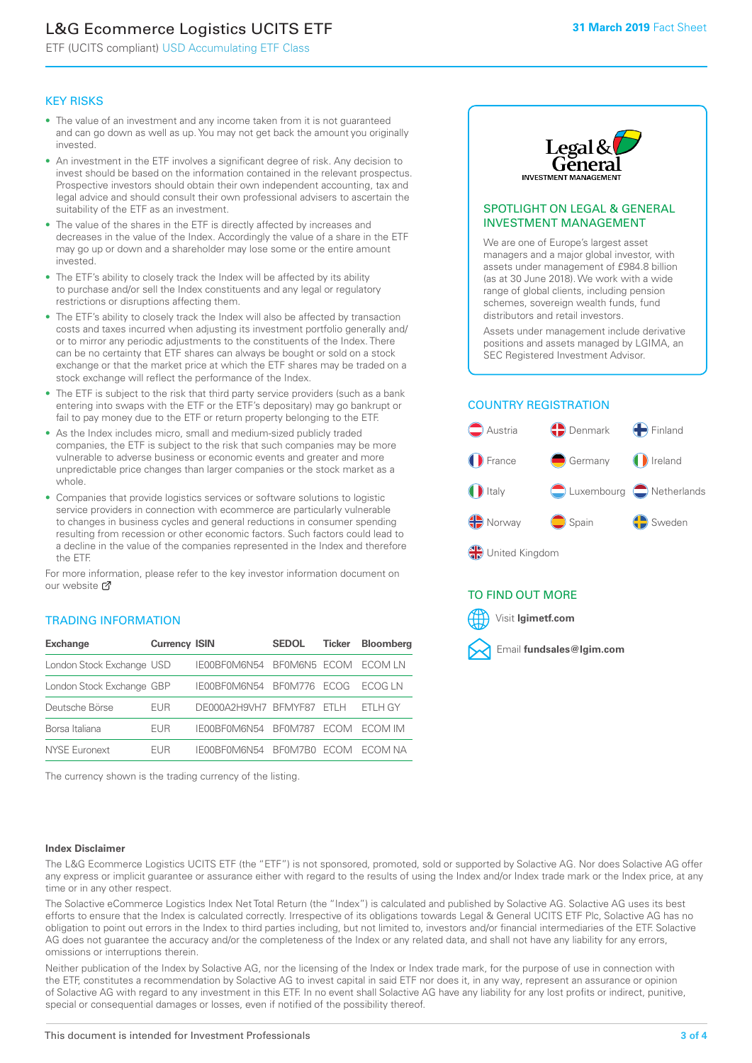# L&G Ecommerce Logistics UCITS ETF

ETF (UCITS compliant) USD Accumulating ETF Class

### KEY RISKS

- The value of an investment and any income taken from it is not guaranteed and can go down as well as up. You may not get back the amount you originally invested.
- An investment in the ETF involves a significant degree of risk. Any decision to invest should be based on the information contained in the relevant prospectus. Prospective investors should obtain their own independent accounting, tax and legal advice and should consult their own professional advisers to ascertain the suitability of the ETF as an investment.
- The value of the shares in the ETF is directly affected by increases and decreases in the value of the Index. Accordingly the value of a share in the ETF may go up or down and a shareholder may lose some or the entire amount invested.
- The ETF's ability to closely track the Index will be affected by its ability to purchase and/or sell the Index constituents and any legal or regulatory restrictions or disruptions affecting them.
- The ETF's ability to closely track the Index will also be affected by transaction costs and taxes incurred when adjusting its investment portfolio generally and/ or to mirror any periodic adjustments to the constituents of the Index. There can be no certainty that ETF shares can always be bought or sold on a stock exchange or that the market price at which the ETF shares may be traded on a stock exchange will reflect the performance of the Index.
- The ETF is subject to the risk that third party service providers (such as a bank entering into swaps with the ETF or the ETF's depositary) may go bankrupt or fail to pay money due to the ETF or return property belonging to the ETF.
- As the Index includes micro, small and medium-sized publicly traded companies, the ETF is subject to the risk that such companies may be more vulnerable to adverse business or economic events and greater and more unpredictable price changes than larger companies or the stock market as a whole.
- Companies that provide logistics services or software solutions to logistic service providers in connection with ecommerce are particularly vulnerable to changes in business cycles and general reductions in consumer spending resulting from recession or other economic factors. Such factors could lead to a decline in the value of the companies represented in the Index and therefore the ETF.

For more information, please refer to the key investor information document on our website **Z** 

### TRADING INFORMATION

| <b>Exchange</b>           | <b>Currency ISIN</b> |                      | <b>SEDOL</b>   | <b>Ticker</b> | <b>Bloomberg</b> |
|---------------------------|----------------------|----------------------|----------------|---------------|------------------|
| London Stock Exchange USD |                      | IE00BF0M6N54         | BFOM6N5 ECOM   |               | ECOM I N         |
| London Stock Exchange GBP |                      | IE00BF0M6N54         | BF0M776        | <b>FCOG</b>   | FCOG IN          |
| Deutsche Börse            | EUR                  | DE000A2H9VH7 BFMYF87 |                | FTI H         | FTI H GY         |
| Borsa Italiana            | EUR                  | IE00BF0M6N54         | <b>BF0M787</b> | <b>FCOM</b>   | ECOM IM          |
| NYSE Euronext             | <b>FUR</b>           | IF00BF0M6N54         | BF0M7B0        | <b>ECOM</b>   | FCOM NA          |

The currency shown is the trading currency of the listing.



### SPOTLIGHT ON LEGAL & GENERAL INVESTMENT MANAGEMENT

We are one of Europe's largest asset managers and a major global investor, with assets under management of £984.8 billion (as at 30 June 2018). We work with a wide range of global clients, including pension schemes, sovereign wealth funds, fund distributors and retail investors.

Assets under management include derivative positions and assets managed by LGIMA, an SEC Registered Investment Advisor.

### COUNTRY REGISTRATION



### TO FIND OUT MORE

Visit **lgimetf.com**



### **Index Disclaimer**

The L&G Ecommerce Logistics UCITS ETF (the "ETF") is not sponsored, promoted, sold or supported by Solactive AG. Nor does Solactive AG offer any express or implicit guarantee or assurance either with regard to the results of using the Index and/or Index trade mark or the Index price, at any time or in any other respect.

The Solactive eCommerce Logistics Index Net Total Return (the "Index") is calculated and published by Solactive AG. Solactive AG uses its best efforts to ensure that the Index is calculated correctly. Irrespective of its obligations towards Legal & General UCITS ETF Plc, Solactive AG has no obligation to point out errors in the Index to third parties including, but not limited to, investors and/or financial intermediaries of the ETF. Solactive AG does not guarantee the accuracy and/or the completeness of the Index or any related data, and shall not have any liability for any errors, omissions or interruptions therein.

Neither publication of the Index by Solactive AG, nor the licensing of the Index or Index trade mark, for the purpose of use in connection with the ETF, constitutes a recommendation by Solactive AG to invest capital in said ETF nor does it, in any way, represent an assurance or opinion of Solactive AG with regard to any investment in this ETF. In no event shall Solactive AG have any liability for any lost profits or indirect, punitive, special or consequential damages or losses, even if notified of the possibility thereof.